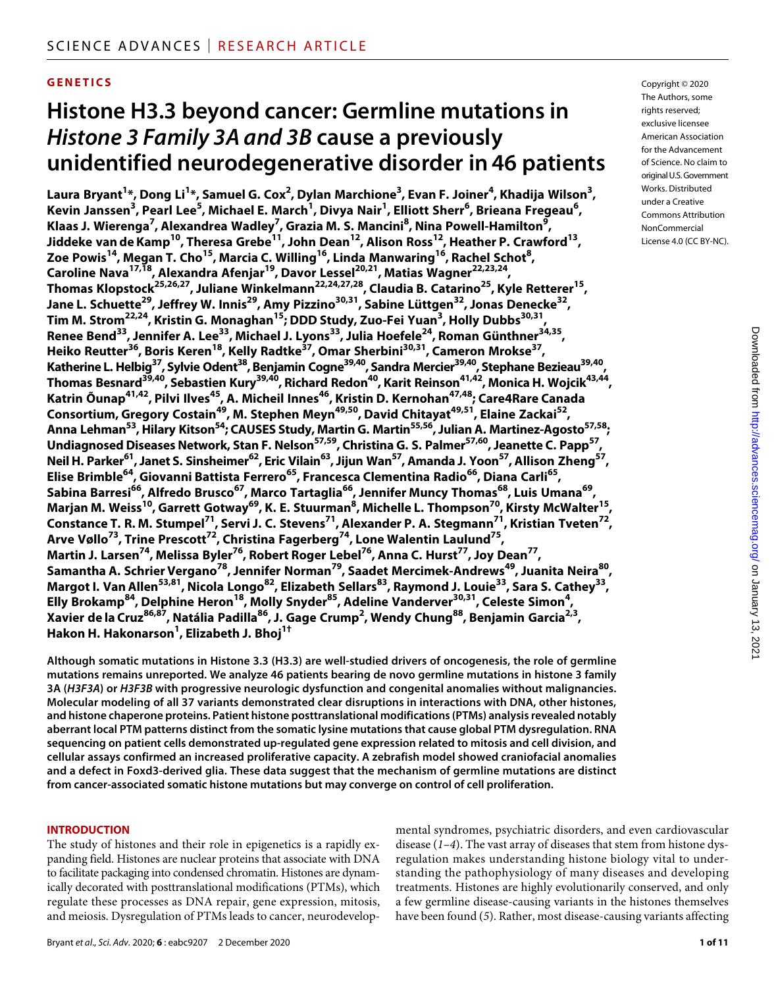# **GENETICS**

# **Histone H3.3 beyond cancer: Germline mutations in**  *Histone 3 Family 3A and 3B* **cause a previously unidentified neurodegenerative disorder in 46 patients**

**Laura Bryant1 \*, Dong Li1 \*, Samuel G. Cox2 , Dylan Marchione3 , Evan F. Joiner4 , Khadija Wilson3 ,**  Kevin Janssen<sup>3</sup>, Pearl Lee<sup>5</sup>, Michael E. March<sup>1</sup>, Divya Nair<sup>1</sup>, Elliott Sherr<sup>6</sup>, Brieana Fregeau<sup>6</sup>, **Klaas J. Wierenga7 , Alexandrea Wadley7 , Grazia M. S. Mancini8 , Nina Powell-Hamilton9 , Jiddeke van de Kamp10, Theresa Grebe11, John Dean12, Alison Ross12, Heather P. Crawford13, Zoe Powis14, Megan T. Cho15, Marcia C. Willing16, Linda Manwaring16, Rachel Schot8 ,**  Caroline Nava<sup>17,18</sup>, Alexandra Afenjar<sup>19</sup>, Davor Lessel<sup>20,21</sup>, Matias Wagner<sup>22,23,24</sup>, **Thomas Klopstock25,26,27, Juliane Winkelmann22,24,27,28, Claudia B. Catarino25, Kyle Retterer15, Jane L. Schuette29, Jeffrey W. Innis29, Amy Pizzino30,31, Sabine Lüttgen32, Jonas Denecke32, Tim M. Strom22,24, Kristin G. Monaghan15; DDD Study, Zuo-Fei Yuan3 , Holly Dubbs30,31, Renee Bend33, Jennifer A. Lee33, Michael J. Lyons33, Julia Hoefele24, Roman Günthner34,35, Heiko Reutter36, Boris Keren18, Kelly Radtke37, Omar Sherbini30,31, Cameron Mrokse37, Katherine L. Helbig<sup>37</sup>, Sylvie Odent<sup>38</sup>, Benjamin Cogne<sup>39,40</sup>, Sandra Mercier<sup>39,40</sup>, Stephane Bezieau<sup>39,40</sup>, Thomas Besnard<sup>39,40</sup>, Sebastien Kury<sup>39,40</sup>, Richard Redon<sup>40</sup>, Karit Reinson<sup>41,42</sup>, Monica H. Wojcik<sup>43,44</sup>, Katrin** Õunap<sup>41,42</sup>, Pilvi Ilves<sup>45</sup>, A. Micheil Innes<sup>46</sup>, Kristin D. Kernohan<sup>47,48</sup>; Care4Rare Canada **Consortium, Gregory Costain<sup>49</sup>, M. Stephen Meyn<sup>49,50</sup>, David Chitayat<sup>49,51</sup>, Elaine Zackai<sup>52</sup>, Anna Lehman53, Hilary Kitson54; CAUSES Study, Martin G. Martin55,56, Julian A. Martinez-Agosto57,58;**  Undiagnosed Diseases Network, Stan F. Nelson<sup>57,59</sup>, Christina G. S. Palmer<sup>57,60</sup>, Jeanette C. Papp<sup>57</sup>, **Neil H. Parker61, Janet S. Sinsheimer62, Eric Vilain63, Jijun Wan57, Amanda J. Yoon57, Allison Zheng57, Elise Brimble64, Giovanni Battista Ferrero65, Francesca Clementina Radio66, Diana Carli65, Sabina Barresi66, Alfredo Brusco67, Marco Tartaglia66, Jennifer Muncy Thomas68, Luis Umana69, Marjan M. Weiss10, Garrett Gotway69, K. E. Stuurman8 , Michelle L. Thompson70, Kirsty McWalter15, Constance T. R. M. Stumpel71, Servi J. C. Stevens71, Alexander P. A. Stegmann71, Kristian Tveten72,**  Arve Vøllo<sup>73</sup>, Trine Prescott<sup>72</sup>, Christina Fagerberg<sup>74</sup>, Lone Walentin Laulund<sup>75</sup>, **Martin J. Larsen74, Melissa Byler76, Robert Roger Lebel76, Anna C. Hurst77, Joy Dean77, Samantha A. Schrier Vergano78, Jennifer Norman79, Saadet Mercimek-Andrews49, Juanita Neira80, Margot I. Van Allen53,81, Nicola Longo82, Elizabeth Sellars83, Raymond J. Louie33, Sara S. Cathey33, Elly Brokamp84, Delphine Heron18, Molly Snyder85, Adeline Vanderver30,31, Celeste Simon4 ,**   $X$ avier de la Cruz<sup>86,87</sup>, Natália Padilla<sup>86</sup>, J. Gage Crump<sup>2</sup>, Wendy Chung<sup>88</sup>, Benjamin Garcia<sup>2,3</sup>, **Hakon H. Hakonarson1 , Elizabeth J. Bhoj1†**

**Although somatic mutations in Histone 3.3 (H3.3) are well-studied drivers of oncogenesis, the role of germline mutations remains unreported. We analyze 46 patients bearing de novo germline mutations in histone 3 family 3A (***H3F3A***) or** *H3F3B* **with progressive neurologic dysfunction and congenital anomalies without malignancies. Molecular modeling of all 37 variants demonstrated clear disruptions in interactions with DNA, other histones, and histone chaperone proteins. Patient histone posttranslational modifications (PTMs) analysis revealed notably aberrant local PTM patterns distinct from the somatic lysine mutations that cause global PTM dysregulation. RNA sequencing on patient cells demonstrated up-regulated gene expression related to mitosis and cell division, and cellular assays confirmed an increased proliferative capacity. A zebrafish model showed craniofacial anomalies and a defect in Foxd3-derived glia. These data suggest that the mechanism of germline mutations are distinct from cancer-associated somatic histone mutations but may converge on control of cell proliferation.**

#### **INTRODUCTION**

The study of histones and their role in epigenetics is a rapidly expanding field. Histones are nuclear proteins that associate with DNA to facilitate packaging into condensed chromatin. Histones are dynamically decorated with posttranslational modifications (PTMs), which regulate these processes as DNA repair, gene expression, mitosis, and meiosis. Dysregulation of PTMs leads to cancer, neurodevelopmental syndromes, psychiatric disorders, and even cardiovascular disease (*1*–*4*). The vast array of diseases that stem from histone dysregulation makes understanding histone biology vital to understanding the pathophysiology of many diseases and developing treatments. Histones are highly evolutionarily conserved, and only a few germline disease-causing variants in the histones themselves have been found (*5*). Rather, most disease-causing variants affecting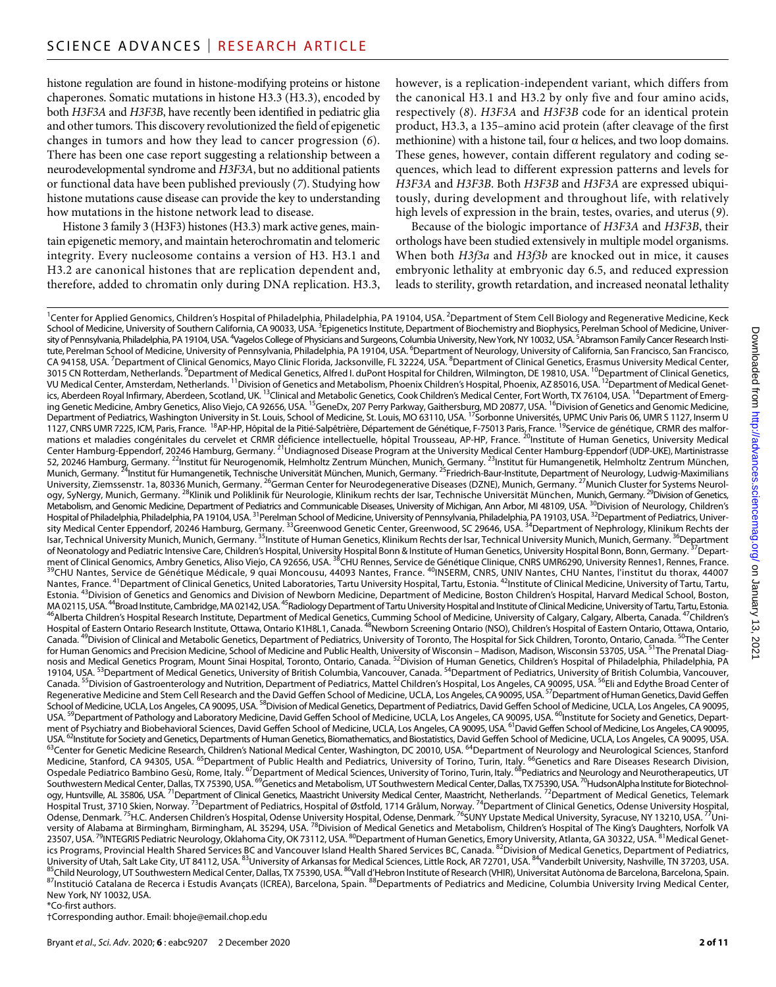histone regulation are found in histone-modifying proteins or histone chaperones. Somatic mutations in histone H3.3 (H3.3), encoded by both *H3F3A* and *H3F3B*, have recently been identified in pediatric glia and other tumors. This discovery revolutionized the field of epigenetic changes in tumors and how they lead to cancer progression (*6*). There has been one case report suggesting a relationship between a neurodevelopmental syndrome and *H3F3A*, but no additional patients or functional data have been published previously (*7*). Studying how histone mutations cause disease can provide the key to understanding how mutations in the histone network lead to disease.

Histone 3 family 3 (H3F3) histones (H3.3) mark active genes, maintain epigenetic memory, and maintain heterochromatin and telomeric integrity. Every nucleosome contains a version of H3. H3.1 and H3.2 are canonical histones that are replication dependent and, therefore, added to chromatin only during DNA replication. H3.3, however, is a replication-independent variant, which differs from the canonical H3.1 and H3.2 by only five and four amino acids, respectively (*8*). *H3F3A* and *H3F3B* code for an identical protein product, H3.3, a 135–amino acid protein (after cleavage of the first methionine) with a histone tail, four  $\alpha$  helices, and two loop domains. These genes, however, contain different regulatory and coding sequences, which lead to different expression patterns and levels for *H3F3A* and *H3F3B*. Both *H3F3B* and *H3F3A* are expressed ubiquitously, during development and throughout life, with relatively high levels of expression in the brain, testes, ovaries, and uterus (*9*).

Because of the biologic importance of *H3F3A* and *H3F3B*, their orthologs have been studied extensively in multiple model organisms. When both *H3f3a* and *H3f3b* are knocked out in mice, it causes embryonic lethality at embryonic day 6.5, and reduced expression leads to sterility, growth retardation, and increased neonatal lethality

<sup>1</sup>Center for Applied Genomics, Children's Hospital of Philadelphia, Philadelphia, PA 19104, USA. <sup>2</sup>Department of Stem Cell Biology and Regenerative Medicine, Keck School of Medicine, University of Southern California, CA 90033, USA. <sup>3</sup>Epigenetics Institute, Department of Biochemistry and Biophysics, Perelman School of Medicine, University of Pennsylvania, Philadelphia, PA 19104, USA. <sup>4</sup>Vagelos College of Physicians and Surgeons, Columbia University, New York, NY 10032, USA. <sup>5</sup>Abramson Family Cancer Research Institute, Perelman School of Medicine, University of Pennsylvania, Philadelphia, PA 19104, USA. <sup>6</sup>Department of Neurology, University of California, San Francisco, San Francisco, CA 94158, USA. <sup>7</sup>Department of Clinical Genomics, Mayo Clinic Florida, Jacksonville, FL 32224, USA. <sup>8</sup>Department of Clinical Genetics, Erasmus University Medical Center, 3015 CN Rotterdam, Netherlands. <sup>9</sup>Department of Medical Genetics, Alfred I. duPont Hospital for Children, Wilmington, DE 19810, USA. <sup>10</sup>Department of Clinical Genetics, VU Medical Center, Amsterdam, Netherlands. <sup>11</sup>Division of Genetics and Metabolism, Phoenix Children's Hospital, Phoenix, AZ 85016, USA. <sup>12</sup>Department of Medical Genetics, Aberdeen Royal Infirmary, Aberdeen, Scotland, UK. <sup>13</sup>Clinical and Metabolic Genetics, Cook Children's Medical Center, Fort Worth, TX 76104, USA. <sup>14</sup>Department of Emerging Genetic Medicine, Ambry Genetics, Aliso Viejo, CA 92656, USA. <sup>15</sup>GeneDx, 207 Perry Parkway, Gaithersburg, MD 20877, USA. <sup>16</sup>Division of Genetics and Genomic Medicine, Department of Pediatrics, Washington University in St. Louis, School of Medicine, St. Louis, MO 63110, USA. <sup>17</sup>Sorbonne Universités, UPMC Univ Paris 06, UMR S 1127, Inserm U 1127, CNRS UMR 7225, ICM, Paris, France. <sup>18</sup>AP-HP, Hôpital de la Pitié-Salpêtrière, Département de Génétique, F-75013 Paris, France. <sup>19</sup>Service de génétique, CRMR des malformations et maladies congénitales du cervelet et CRMR déficience intellectuelle, hôpital Trousseau, AP-HP, France. <sup>20</sup>Institute of Human Genetics, University Medical Center Hamburg-Eppendorf, 20246 Hamburg, Germany. <sup>21</sup>Undiagnosed Disease Program at the University Medical Center Hamburg-Eppendorf (UDP-UKE), Martinistrasse 52, 20246 Hamburg, Germany. <sup>22</sup>Institut für Neurogenomik, Helmholtz Zentrum München, Munich, Germany. <sup>23</sup>Institut für Humangenetik, Helmholtz Zentrum München, Munich, Germany. <sup>24</sup>Institut für Humangenetik, Technische Universität München, Munich, Germany. <sup>25</sup>Friedrich-Baur-Institute, Department of Neurology, Ludwig-Maximilians University, Ziemssenstr. 1a, 80336 Munich, Germany. 26German Center for Neurodegenerative Diseases (DZNE), Munich, Germany. 27Munich Cluster for Systems Neurology, SyNergy, Munich, Germany. <sup>28</sup>Klinik und Poliklinik für Neurologie, Klinikum rechts der Isar, Technische Universität München, Munich, Germany. <sup>29</sup>Division of Genetics, Metabolism, and Genomic Medicine, Department of Pediatrics and Communicable Diseases, University of Michigan, Ann Arbor, MI 48109, USA. <sup>30</sup>Division of Neurology, Children's Hospital of Philadelphia, Philadelphia, PA 19104, USA. <sup>31</sup>Perelman School of Medicine, University of Pennsylvania, Philadelphia, PA 19103, USA. <sup>32</sup>Department of Pediatrics, University Medical Center Eppendorf, 20246 Hamburg, Germany. 33Greenwood Genetic Center, Greenwood, SC 29646, USA. 34Department of Nephrology, Klinikum Rechts der Isar, Technical University Munich, Munich, Germany. <sup>35</sup>Institute of Human Genetics, Klinikum Rechts der Isar, Technical University Munich, Munich, Germany. <sup>36</sup>Department of Neonatology and Pediatric Intensive Care, Children's Hospital, University Hospital Bonn & Institute of Human Genetics, University Hospital Bonn, Bonn, Germany. <sup>37</sup>Department of Clinical Genomics, Ambry Genetics, Aliso Viejo, CA 92656, USA. <sup>38</sup>CHU Rennes, Service de Génétique Clinique, CNRS UMR6290, University Rennes1, Rennes, France.<br><sup>39</sup>CHU Nantes, Service de Génétique Médicale, 9 quai Nantes, France. <sup>41</sup>Department of Clinical Genetics, United Laboratories, Tartu University Hospital, Tartu, Estonia. <sup>42</sup>Institute of Clinical Medicine, University of Tartu, Tartu, Estonia. <sup>43</sup>Division of Genetics and Genomics and Division of Newborn Medicine, Department of Medicine, Boston Children's Hospital, Harvard Medical School, Boston, MA 02115, USA. <sup>44</sup>Broad Institute, Cambridge, MA 02142, USA. <sup>45</sup>Radiology Department of Tartu University Hospital and Institute of Clinical Medicine, University of Tartu, Tartu, Estonia.<br><sup>46</sup>Alberta Children's Hospital R Hospital of Eastern Ontario Research Institute, Ottawa, Ontario K1H8L1, Canada. <sup>48</sup>Newborn Screening Ontario (NSO), Children's Hospital of Eastern Ontario, Ottawa, Ontario, Canada. <sup>49</sup>Division of Clinical and Metabolic Genetics, Department of Pediatrics, University of Toronto, The Hospital for Sick Children, Toronto, Ontario, Canada. <sup>50</sup>The Center for Human Genomics and Precision Medicine, School of Medicine and Public Health, University of Wisconsin - Madison, Madison, Wisconsin 53705, USA. <sup>51</sup>The Prenatal Diagnosis and Medical Genetics Program, Mount Sinai Hospital, Toronto, Ontario, Canada. <sup>52</sup>Division of Human Genetics, Children's Hospital of Philadelphia, Philadelphia, PA 19104, USA. <sup>53</sup>Department of Medical Genetics, University of British Columbia, Vancouver, Canada. <sup>54</sup>Department of Pediatrics, University of British Columbia, Vancouver, Canada. <sup>55</sup>Division of Gastroenterology and Nutrition, Department of Pediatrics, Mattel Children's Hospital, Los Angeles, CA 90095, USA. <sup>56</sup>Eli and Edythe Broad Center of Regenerative Medicine and Stem Cell Research and the David Geffen School of Medicine, UCLA, Los Angeles, CA 90095, USA.<sup>57</sup>Department of Human Genetics, David Geffen School of Medicine, UCLA, Los Angeles, CA 90095, USA. <sup>58</sup>Division of Medical Genetics, Department of Pediatrics, David Geffen School of Medicine, UCLA, Los Angeles, CA 90095, USA. <sup>59</sup>Department of Pathology and Laboratory Medicine, David Geffen School of Medicine, UCLA, Los Angeles, CA 90095, USA. <sup>60</sup>Institute for Society and Genetics, Department of Psychiatry and Biobehavioral Sciences, David Geffen School of Medicine, UCLA, Los Angeles, CA 90095, USA. <sup>61</sup>David Geffen School of Medicine, Los Angeles, CA 90095, USA. 6290995, USA. 6290995, USA. 629095, USA. 62 <sup>63</sup>Center for Genetic Medicine Research, Children's National Medical Center, Washington, DC 20010, USA. <sup>64</sup>Department of Neurology and Neurological Sciences, Stanford Medicine, Stanford, CA 94305, USA. <sup>65</sup>Department of Public Health and Pediatrics, University of Torino, Turin, Italy. <sup>66</sup>Genetics and Rare Diseases Research Division, Ospedale Pediatrico Bambino Gesù, Rome, Italy. <sup>67</sup>Department of Medical Sciences, University of Torino, Turin, Italy. <sup>68</sup>Pediatrics and Neurology and Neurotherapeutics, UT Southwestern Medical Center, Dallas, TX 75390, USA. <sup>69</sup>Genetics and Metabolism, UT Southwestern Medical Center, Dallas, TX 75390, USA. <sup>70</sup>HudsonAlpha Institute for Biotechnology, Huntsville, AL 35806, USA. 71Department of Clinical Genetics, Maastricht University Medical Center, Maastricht, Netherlands. 72Department of Medical Genetics, Telemark Hospital Trust, 3710 Skien, Norway.<sup>73</sup>Department of Pediatrics, Hospital of Østfold, 1714 Grålum, Norway.<sup>74</sup>Department of Clinical Genetics, Odense University Hospital, Odense, Denmark. <sup>75</sup>H.C. Andersen Children's Hospital, Odense University Hospital, Odense, Denmark. <sup>76</sup>SUNY Upstate Medical University, Syracuse, NY 13210, USA. <sup>77</sup>University of Alabama at Birmingham, Birmingham, AL 35294, USA. <sup>78</sup>Division of Medical Genetics and Metabolism, Children's Hospital of The King's Daughters, Norfolk VA 23507, USA. <sup>79</sup>INTEGRIS Pediatric Neurology, Oklahoma City, OK 73112, USA. <sup>80</sup>Department of Human Genetics, Emory University, Atlanta, GA 30322, USA. <sup>81</sup>Medical Genetics Programs, Provincial Health Shared Services BC and Vancouver Island Health Shared Services BC, Canada. 82Division of Medical Genetics, Department of Pediatrics, Department of Pediatrics, Department of Pediatrics, Depar <sup>85</sup>Child Neurology, UT Southwestern Medical Center, Dallas, TX 75390, USA. <sup>86</sup>Vall d'Hebron Institute of Research (VHIR), Universitat Autònoma de Barcelona, Barcelona, Spain.<br><sup>87</sup>Institució Catalana de Recerca i Estudis New York, NY 10032, USA. \*Co-first authors.

†Corresponding author. Email: bhoje@email.chop.edu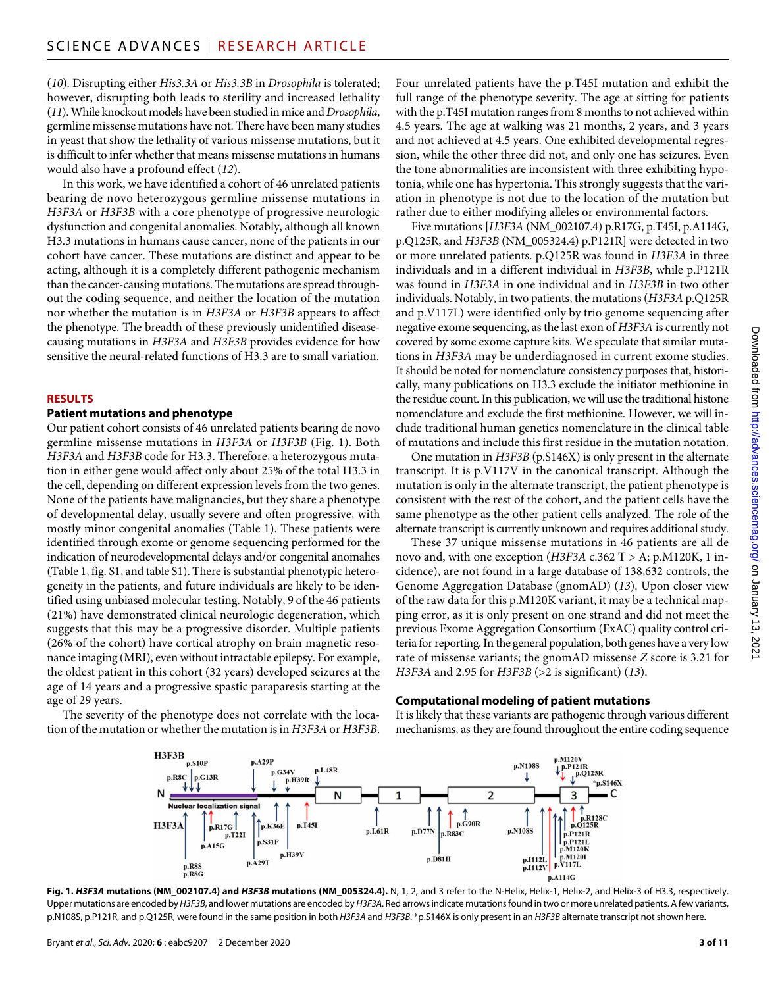(*10*). Disrupting either *His3.3A* or *His3.3B* in *Drosophila* is tolerated; however, disrupting both leads to sterility and increased lethality (*11*). While knockout models have been studied in mice and *Drosophila*, germline missense mutations have not. There have been many studies in yeast that show the lethality of various missense mutations, but it is difficult to infer whether that means missense mutations in humans would also have a profound effect (*12*).

In this work, we have identified a cohort of 46 unrelated patients bearing de novo heterozygous germline missense mutations in *H3F3A* or *H3F3B* with a core phenotype of progressive neurologic dysfunction and congenital anomalies. Notably, although all known H3.3 mutations in humans cause cancer, none of the patients in our cohort have cancer. These mutations are distinct and appear to be acting, although it is a completely different pathogenic mechanism than the cancer-causing mutations. The mutations are spread throughout the coding sequence, and neither the location of the mutation nor whether the mutation is in *H3F3A* or *H3F3B* appears to affect the phenotype. The breadth of these previously unidentified diseasecausing mutations in *H3F3A* and *H3F3B* provides evidence for how sensitive the neural-related functions of H3.3 are to small variation.

#### **RESULTS**

#### **Patient mutations and phenotype**

Our patient cohort consists of 46 unrelated patients bearing de novo germline missense mutations in *H3F3A* or *H3F3B* (Fig. 1). Both *H3F3A* and *H3F3B* code for H3.3. Therefore, a heterozygous mutation in either gene would affect only about 25% of the total H3.3 in the cell, depending on different expression levels from the two genes. None of the patients have malignancies, but they share a phenotype of developmental delay, usually severe and often progressive, with mostly minor congenital anomalies (Table 1). These patients were identified through exome or genome sequencing performed for the indication of neurodevelopmental delays and/or congenital anomalies (Table 1, fig. S1, and table S1). There is substantial phenotypic heterogeneity in the patients, and future individuals are likely to be identified using unbiased molecular testing. Notably, 9 of the 46 patients (21%) have demonstrated clinical neurologic degeneration, which suggests that this may be a progressive disorder. Multiple patients (26% of the cohort) have cortical atrophy on brain magnetic resonance imaging (MRI), even without intractable epilepsy. For example, the oldest patient in this cohort (32 years) developed seizures at the age of 14 years and a progressive spastic paraparesis starting at the age of 29 years.

The severity of the phenotype does not correlate with the location of the mutation or whether the mutation is in *H3F3A* or *H3F3B*. Four unrelated patients have the p.T45I mutation and exhibit the full range of the phenotype severity. The age at sitting for patients with the p.T45I mutation ranges from 8 months to not achieved within 4.5 years. The age at walking was 21 months, 2 years, and 3 years and not achieved at 4.5 years. One exhibited developmental regression, while the other three did not, and only one has seizures. Even the tone abnormalities are inconsistent with three exhibiting hypotonia, while one has hypertonia. This strongly suggests that the variation in phenotype is not due to the location of the mutation but rather due to either modifying alleles or environmental factors.

Five mutations [*H3F3A* (NM\_002107.4) p.R17G, p.T45I, p.A114G, p.Q125R, and *H3F3B* (NM\_005324.4) p.P121R] were detected in two or more unrelated patients. p.Q125R was found in *H3F3A* in three individuals and in a different individual in *H3F3B*, while p.P121R was found in *H3F3A* in one individual and in *H3F3B* in two other individuals. Notably, in two patients, the mutations (*H3F3A* p.Q125R and p.V117L) were identified only by trio genome sequencing after negative exome sequencing, as the last exon of *H3F3A* is currently not covered by some exome capture kits. We speculate that similar mutations in *H3F3A* may be underdiagnosed in current exome studies. It should be noted for nomenclature consistency purposes that, historically, many publications on H3.3 exclude the initiator methionine in the residue count. In this publication, we will use the traditional histone nomenclature and exclude the first methionine. However, we will include traditional human genetics nomenclature in the clinical table of mutations and include this first residue in the mutation notation.

One mutation in *H3F3B* (p.S146X) is only present in the alternate transcript. It is p.V117V in the canonical transcript. Although the mutation is only in the alternate transcript, the patient phenotype is consistent with the rest of the cohort, and the patient cells have the same phenotype as the other patient cells analyzed. The role of the alternate transcript is currently unknown and requires additional study.

These 37 unique missense mutations in 46 patients are all de novo and, with one exception (*H3F3A* c.362 T > A; p.M120K, 1 incidence), are not found in a large database of 138,632 controls, the Genome Aggregation Database (gnomAD) (*13*). Upon closer view of the raw data for this p.M120K variant, it may be a technical mapping error, as it is only present on one strand and did not meet the previous Exome Aggregation Consortium (ExAC) quality control criteria for reporting. In the general population, both genes have a very low rate of missense variants; the gnomAD missense *Z* score is 3.21 for *H3F3A* and 2.95 for *H3F3B* (>2 is significant) (*13*).

#### **Computational modeling of patient mutations**

It is likely that these variants are pathogenic through various different mechanisms, as they are found throughout the entire coding sequence



**Fig. 1.** *H3F3A* **mutations (NM\_002107.4) and** *H3F3B* **mutations (NM\_005324.4).** N, 1, 2, and 3 refer to the N-Helix, Helix-1, Helix-2, and Helix-3 of H3.3, respectively. Upper mutations are encoded by *H3F3B*, and lower mutations are encoded by *H3F3A*. Red arrows indicate mutations found in two or more unrelated patients. A few variants, p.N108S, p.P121R, and p.Q125R, were found in the same position in both *H3F3A* and *H3F3B*. \*p.S146X is only present in an *H3F3B* alternate transcript not shown here.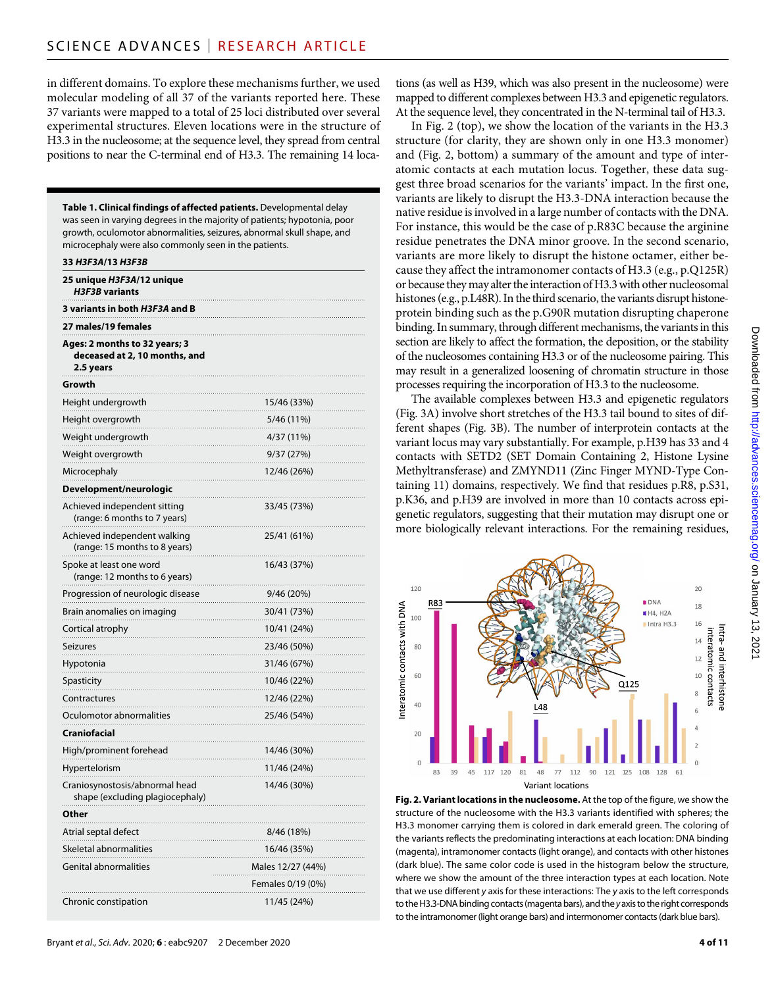in different domains. To explore these mechanisms further, we used molecular modeling of all 37 of the variants reported here. These 37 variants were mapped to a total of 25 loci distributed over several experimental structures. Eleven locations were in the structure of H3.3 in the nucleosome; at the sequence level, they spread from central positions to near the C-terminal end of H3.3. The remaining 14 loca-

**Table 1. Clinical findings of affected patients.** Developmental delay was seen in varying degrees in the majority of patients; hypotonia, poor growth, oculomotor abnormalities, seizures, abnormal skull shape, and microcephaly were also commonly seen in the patients.

| 33 H3F3A/13 H3F3B                                                           |                   |
|-----------------------------------------------------------------------------|-------------------|
| 25 unique H3F3A/12 unique<br>H3F3B variants                                 |                   |
| 3 variants in both H3F3A and B                                              |                   |
| 27 males/19 females                                                         |                   |
| Ages: 2 months to 32 years; 3<br>deceased at 2, 10 months, and<br>2.5 years |                   |
| Growth                                                                      |                   |
| Height undergrowth                                                          | 15/46 (33%)       |
| Height overgrowth                                                           | 5/46 (11%)        |
| Weight undergrowth                                                          | 4/37 (11%)        |
| Weight overgrowth                                                           | 9/37(27%)         |
| Microcephaly                                                                | 12/46 (26%)       |
| Development/neurologic                                                      |                   |
| Achieved independent sitting<br>(range: 6 months to 7 years)                | 33/45 (73%)       |
| Achieved independent walking<br>(range: 15 months to 8 years)               | 25/41 (61%)       |
| Spoke at least one word<br>(range: 12 months to 6 years)                    | 16/43 (37%)       |
| Progression of neurologic disease                                           | 9/46 (20%)        |
| Brain anomalies on imaging                                                  | 30/41 (73%)       |
| Cortical atrophy                                                            | 10/41 (24%)       |
| Seizures                                                                    | 23/46 (50%)       |
| Hypotonia                                                                   | 31/46 (67%)       |
| Spasticity                                                                  | 10/46 (22%)       |
| Contractures                                                                | 12/46 (22%)       |
| Oculomotor abnormalities                                                    | 25/46 (54%)       |
| Craniofacial                                                                |                   |
| High/prominent forehead                                                     | 14/46 (30%)       |
| Hypertelorism                                                               | 11/46 (24%)       |
| Craniosynostosis/abnormal head<br>shape (excluding plagiocephaly)           | 14/46 (30%)       |
| Other                                                                       |                   |
| Atrial septal defect                                                        | 8/46 (18%)        |
| Skeletal abnormalities                                                      | 16/46 (35%)       |
| Genital abnormalities                                                       | Males 12/27 (44%) |
|                                                                             | Females 0/19 (0%) |
| Chronic constipation                                                        | 11/45 (24%)       |

tions (as well as H39, which was also present in the nucleosome) were mapped to different complexes between H3.3 and epigenetic regulators. At the sequence level, they concentrated in the N-terminal tail of H3.3.

In Fig. 2 (top), we show the location of the variants in the H3.3 structure (for clarity, they are shown only in one H3.3 monomer) and (Fig. 2, bottom) a summary of the amount and type of interatomic contacts at each mutation locus. Together, these data suggest three broad scenarios for the variants' impact. In the first one, variants are likely to disrupt the H3.3-DNA interaction because the native residue is involved in a large number of contacts with the DNA. For instance, this would be the case of p.R83C because the arginine residue penetrates the DNA minor groove. In the second scenario, variants are more likely to disrupt the histone octamer, either because they affect the intramonomer contacts of H3.3 (e.g., p.Q125R) or because they may alter the interaction of H3.3 with other nucleosomal histones (e.g., p.L48R). In the third scenario, the variants disrupt histoneprotein binding such as the p.G90R mutation disrupting chaperone binding. In summary, through different mechanisms, the variants in this section are likely to affect the formation, the deposition, or the stability of the nucleosomes containing H3.3 or of the nucleosome pairing. This may result in a generalized loosening of chromatin structure in those processes requiring the incorporation of H3.3 to the nucleosome.

The available complexes between H3.3 and epigenetic regulators (Fig. 3A) involve short stretches of the H3.3 tail bound to sites of different shapes (Fig. 3B). The number of interprotein contacts at the variant locus may vary substantially. For example, p.H39 has 33 and 4 contacts with SETD2 (SET Domain Containing 2, Histone Lysine Methyltransferase) and ZMYND11 (Zinc Finger MYND-Type Containing 11) domains, respectively. We find that residues p.R8, p.S31, p.K36, and p.H39 are involved in more than 10 contacts across epigenetic regulators, suggesting that their mutation may disrupt one or more biologically relevant interactions. For the remaining residues,



**Fig. 2. Variant locations in the nucleosome.** At the top of the figure, we show the structure of the nucleosome with the H3.3 variants identified with spheres; the H3.3 monomer carrying them is colored in dark emerald green. The coloring of the variants reflects the predominating interactions at each location: DNA binding (magenta), intramonomer contacts (light orange), and contacts with other histones (dark blue). The same color code is used in the histogram below the structure, where we show the amount of the three interaction types at each location. Note that we use different *y* axis for these interactions: The *y* axis to the left corresponds to the H3.3-DNA binding contacts (magenta bars), and the *y* axis to the right corresponds to the intramonomer (light orange bars) and intermonomer contacts (dark blue bars).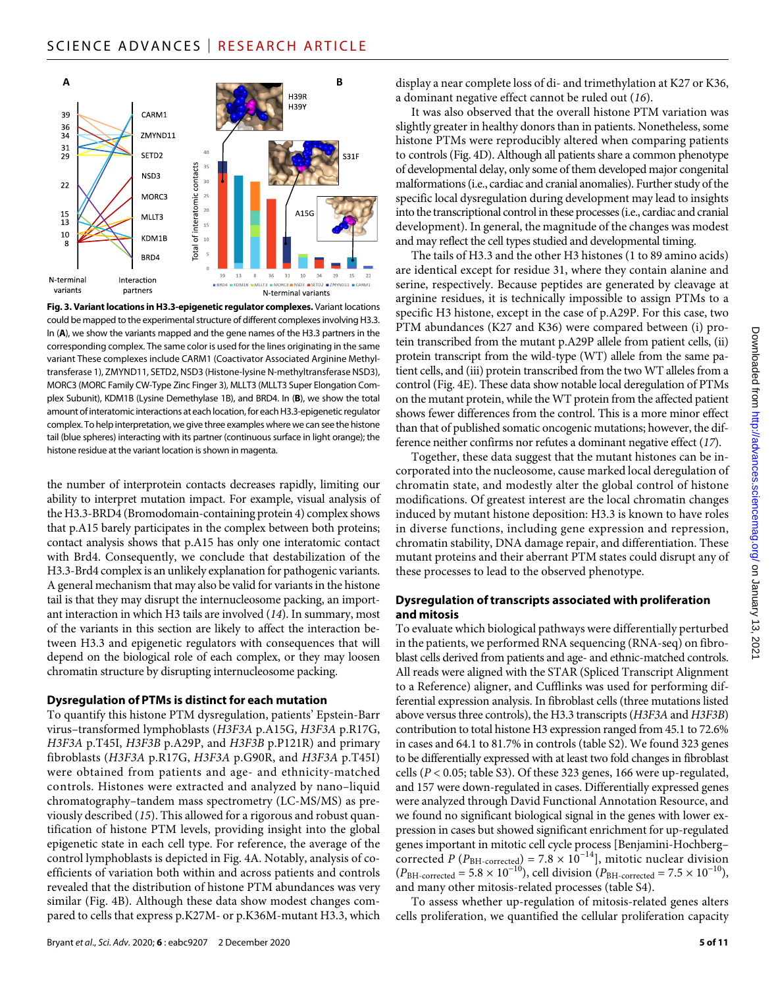

**Fig. 3. Variant locations in H3.3-epigenetic regulator complexes.** Variant locations could be mapped to the experimental structure of different complexes involving H3.3. In (**A**), we show the variants mapped and the gene names of the H3.3 partners in the corresponding complex. The same color is used for the lines originating in the same variant These complexes include CARM1 (Coactivator Associated Arginine Methyltransferase 1), ZMYND11, SETD2, NSD3 (Histone-lysine N-methyltransferase NSD3), MORC3 (MORC Family CW-Type Zinc Finger 3), MLLT3 (MLLT3 Super Elongation Complex Subunit), KDM1B (Lysine Demethylase 1B), and BRD4. In (**B**), we show the total amount of interatomic interactions at each location, for each H3.3-epigenetic regulator complex. To help interpretation, we give three examples where we can see the histone tail (blue spheres) interacting with its partner (continuous surface in light orange); the histone residue at the variant location is shown in magenta.

the number of interprotein contacts decreases rapidly, limiting our ability to interpret mutation impact. For example, visual analysis of the H3.3-BRD4 (Bromodomain-containing protein 4) complex shows that p.A15 barely participates in the complex between both proteins; contact analysis shows that p.A15 has only one interatomic contact with Brd4. Consequently, we conclude that destabilization of the H3.3-Brd4 complex is an unlikely explanation for pathogenic variants. A general mechanism that may also be valid for variants in the histone tail is that they may disrupt the internucleosome packing, an important interaction in which H3 tails are involved (*14*). In summary, most of the variants in this section are likely to affect the interaction between H3.3 and epigenetic regulators with consequences that will depend on the biological role of each complex, or they may loosen chromatin structure by disrupting internucleosome packing.

#### **Dysregulation of PTMs is distinct for each mutation**

To quantify this histone PTM dysregulation, patients' Epstein-Barr virus–transformed lymphoblasts (*H3F3A* p.A15G, *H3F3A* p.R17G, *H3F3A* p.T45I, *H3F3B* p.A29P, and *H3F3B* p.P121R) and primary fibroblasts (*H3F3A* p.R17G, *H3F3A* p.G90R, and *H3F3A* p.T45I) were obtained from patients and age- and ethnicity-matched controls. Histones were extracted and analyzed by nano–liquid chromatography–tandem mass spectrometry (LC-MS/MS) as previously described (*15*). This allowed for a rigorous and robust quantification of histone PTM levels, providing insight into the global epigenetic state in each cell type. For reference, the average of the control lymphoblasts is depicted in Fig. 4A. Notably, analysis of coefficients of variation both within and across patients and controls revealed that the distribution of histone PTM abundances was very similar (Fig. 4B). Although these data show modest changes compared to cells that express p.K27M- or p.K36M-mutant H3.3, which

display a near complete loss of di- and trimethylation at K27 or K36, a dominant negative effect cannot be ruled out (*16*).

It was also observed that the overall histone PTM variation was slightly greater in healthy donors than in patients. Nonetheless, some histone PTMs were reproducibly altered when comparing patients to controls (Fig. 4D). Although all patients share a common phenotype of developmental delay, only some of them developed major congenital malformations (i.e., cardiac and cranial anomalies). Further study of the specific local dysregulation during development may lead to insights into the transcriptional control in these processes (i.e., cardiac and cranial development). In general, the magnitude of the changes was modest and may reflect the cell types studied and developmental timing.

The tails of H3.3 and the other H3 histones (1 to 89 amino acids) are identical except for residue 31, where they contain alanine and serine, respectively. Because peptides are generated by cleavage at arginine residues, it is technically impossible to assign PTMs to a specific H3 histone, except in the case of p.A29P. For this case, two PTM abundances (K27 and K36) were compared between (i) protein transcribed from the mutant p.A29P allele from patient cells, (ii) protein transcript from the wild-type (WT) allele from the same patient cells, and (iii) protein transcribed from the two WT alleles from a control (Fig. 4E). These data show notable local deregulation of PTMs on the mutant protein, while the WT protein from the affected patient shows fewer differences from the control. This is a more minor effect than that of published somatic oncogenic mutations; however, the difference neither confirms nor refutes a dominant negative effect (*17*).

Together, these data suggest that the mutant histones can be incorporated into the nucleosome, cause marked local deregulation of chromatin state, and modestly alter the global control of histone modifications. Of greatest interest are the local chromatin changes induced by mutant histone deposition: H3.3 is known to have roles in diverse functions, including gene expression and repression, chromatin stability, DNA damage repair, and differentiation. These mutant proteins and their aberrant PTM states could disrupt any of these processes to lead to the observed phenotype.

### **Dysregulation oftranscripts associated with proliferation and mitosis**

To evaluate which biological pathways were differentially perturbed in the patients, we performed RNA sequencing (RNA-seq) on fibroblast cells derived from patients and age- and ethnic-matched controls. All reads were aligned with the STAR (Spliced Transcript Alignment to a Reference) aligner, and Cufflinks was used for performing differential expression analysis. In fibroblast cells (three mutations listed above versus three controls), the H3.3 transcripts (*H3F3A* and *H3F3B*) contribution to total histone H3 expression ranged from 45.1 to 72.6% in cases and 64.1 to 81.7% in controls (table S2). We found 323 genes to be differentially expressed with at least two fold changes in fibroblast cells (*P* < 0.05; table S3). Of these 323 genes, 166 were up-regulated, and 157 were down-regulated in cases. Differentially expressed genes were analyzed through David Functional Annotation Resource, and we found no significant biological signal in the genes with lower expression in cases but showed significant enrichment for up-regulated genes important in mitotic cell cycle process [Benjamini-Hochberg– corrected *P* ( $P_{\text{BH-corrected}}$ ) = 7.8 × 10<sup>-14</sup>], mitotic nuclear division  $(P_{BH-corrected} = 5.8 \times 10^{-10})$ , cell division  $(P_{BH-corrected} = 7.5 \times 10^{-10})$ , and many other mitosis-related processes (table S4).

To assess whether up-regulation of mitosis-related genes alters cells proliferation, we quantified the cellular proliferation capacity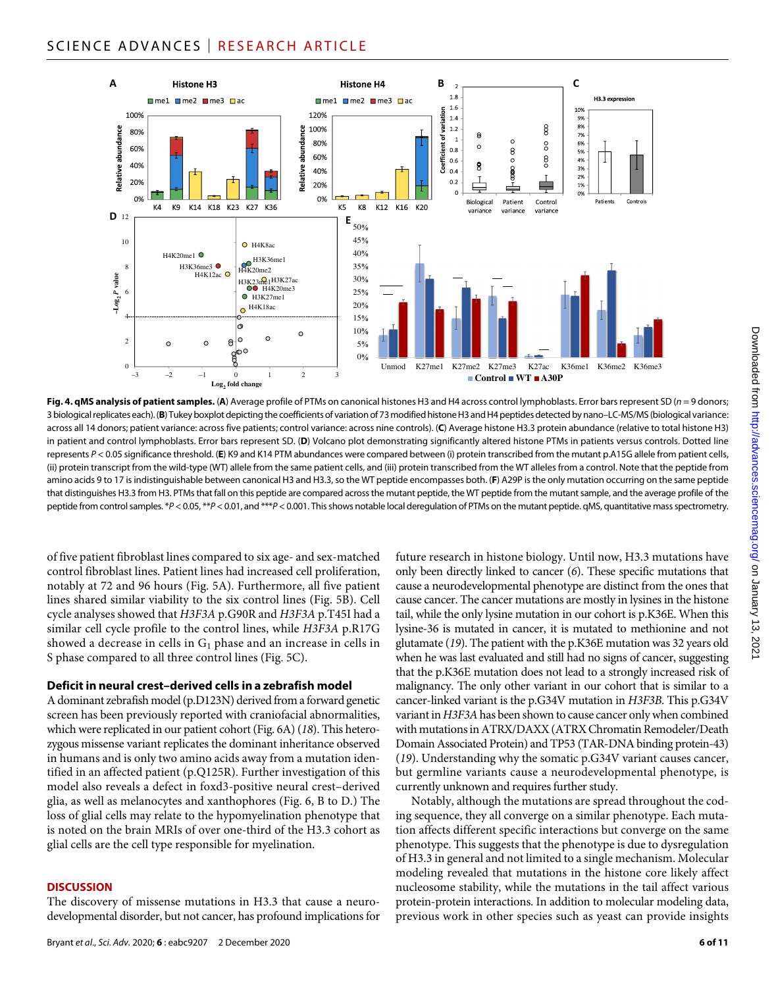

**Fig. 4. qMS analysis of patient samples.** (**A**) Average profile of PTMs on canonical histones H3 and H4 across control lymphoblasts. Error bars represent SD (*n* = 9 donors; 3 biological replicates each). (**B**) Tukey boxplot depicting the coefficients of variation of 73 modified histone H3 and H4 peptides detected by nano–LC-MS/MS (biological variance: across all 14 donors; patient variance: across five patients; control variance: across nine controls). (**C**) Average histone H3.3 protein abundance (relative to total histone H3) in patient and control lymphoblasts. Error bars represent SD. (**D**) Volcano plot demonstrating significantly altered histone PTMs in patients versus controls. Dotted line represents *P* < 0.05 significance threshold. (**E**) K9 and K14 PTM abundances were compared between (i) protein transcribed from the mutant p.A15G allele from patient cells, (ii) protein transcript from the wild-type (WT) allele from the same patient cells, and (iii) protein transcribed from the WT alleles from a control. Note that the peptide from amino acids 9 to 17 is indistinguishable between canonical H3 and H3.3, so the WT peptide encompasses both. (**F**) A29P is the only mutation occurring on the same peptide that distinguishes H3.3 from H3. PTMs that fall on this peptide are compared across the mutant peptide, the WT peptide from the mutant sample, and the average profile of the peptide from control samples. \**P* < 0.05, \*\**P* < 0.01, and \*\*\**P* < 0.001. This shows notable local deregulation of PTMs on the mutant peptide. qMS, quantitative mass spectrometry.

of five patient fibroblast lines compared to six age- and sex-matched control fibroblast lines. Patient lines had increased cell proliferation, notably at 72 and 96 hours (Fig. 5A). Furthermore, all five patient lines shared similar viability to the six control lines (Fig. 5B). Cell cycle analyses showed that *H3F3A* p.G90R and *H3F3A* p.T45I had a similar cell cycle profile to the control lines, while *H3F3A* p.R17G showed a decrease in cells in  $G_1$  phase and an increase in cells in S phase compared to all three control lines (Fig. 5C).

#### **Deficit in neural crest–derived cells in a zebrafish model**

A dominant zebrafish model (p.D123N) derived from a forward genetic screen has been previously reported with craniofacial abnormalities, which were replicated in our patient cohort (Fig. 6A) (*18*). This heterozygous missense variant replicates the dominant inheritance observed in humans and is only two amino acids away from a mutation identified in an affected patient (p.Q125R). Further investigation of this model also reveals a defect in foxd3-positive neural crest–derived glia, as well as melanocytes and xanthophores (Fig. 6, B to D.) The loss of glial cells may relate to the hypomyelination phenotype that is noted on the brain MRIs of over one-third of the H3.3 cohort as glial cells are the cell type responsible for myelination.

#### **DISCUSSION**

The discovery of missense mutations in H3.3 that cause a neurodevelopmental disorder, but not cancer, has profound implications for future research in histone biology. Until now, H3.3 mutations have only been directly linked to cancer (*6*). These specific mutations that cause a neurodevelopmental phenotype are distinct from the ones that cause cancer. The cancer mutations are mostly in lysines in the histone tail, while the only lysine mutation in our cohort is p.K36E. When this lysine-36 is mutated in cancer, it is mutated to methionine and not glutamate (*19*). The patient with the p.K36E mutation was 32 years old when he was last evaluated and still had no signs of cancer, suggesting that the p.K36E mutation does not lead to a strongly increased risk of malignancy. The only other variant in our cohort that is similar to a cancer-linked variant is the p.G34V mutation in *H3F3B*. This p.G34V variant in *H3F3A* has been shown to cause cancer only when combined with mutations in ATRX/DAXX (ATRX Chromatin Remodeler/Death Domain Associated Protein) and TP53 (TAR-DNA binding protein-43) (*19*). Understanding why the somatic p.G34V variant causes cancer, but germline variants cause a neurodevelopmental phenotype, is currently unknown and requires further study.

Notably, although the mutations are spread throughout the coding sequence, they all converge on a similar phenotype. Each mutation affects different specific interactions but converge on the same phenotype. This suggests that the phenotype is due to dysregulation of H3.3 in general and not limited to a single mechanism. Molecular modeling revealed that mutations in the histone core likely affect nucleosome stability, while the mutations in the tail affect various protein-protein interactions. In addition to molecular modeling data, previous work in other species such as yeast can provide insights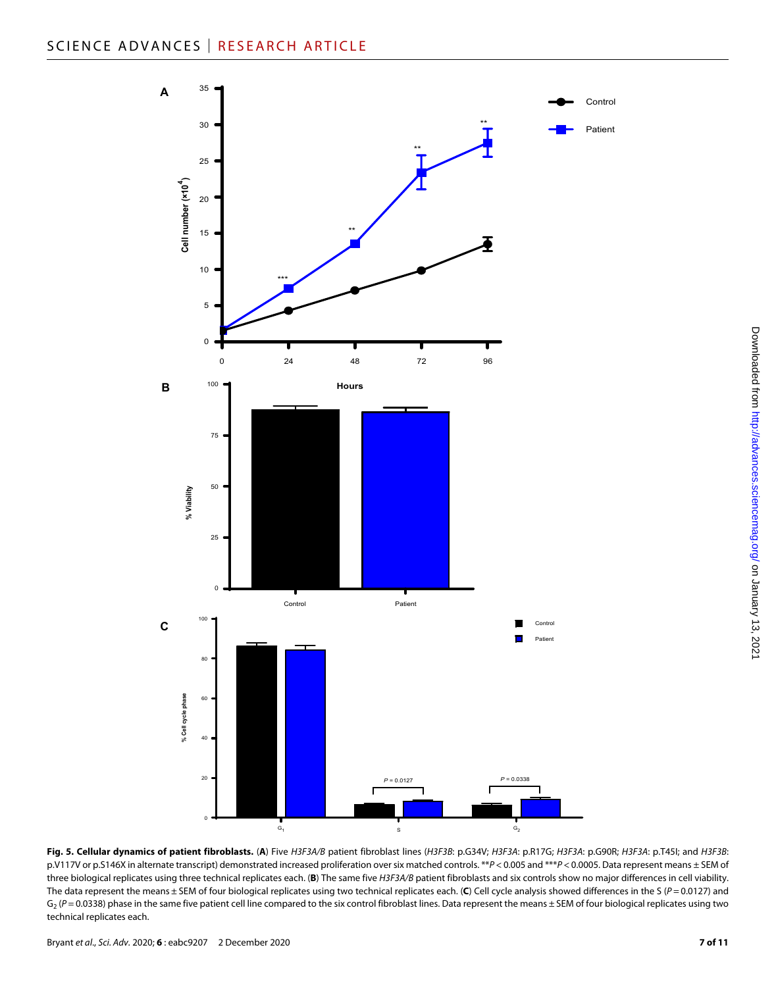

**Fig. 5. Cellular dynamics of patient fibroblasts.** (**A**) Five *H3F3A/B* patient fibroblast lines (*H3F3B*: p.G34V; *H3F3A*: p.R17G; *H3F3A*: p.G90R; *H3F3A*: p.T45I; and *H3F3B*: p.V117V or p.S146X in alternate transcript) demonstrated increased proliferation over six matched controls. \*\**P* < 0.005 and \*\*\**P* < 0.0005. Data represent means ± SEM of three biological replicates using three technical replicates each. (**B**) The same five *H3F3A/B* patient fibroblasts and six controls show no major differences in cell viability. The data represent the means ± SEM of four biological replicates using two technical replicates each. (C) Cell cycle analysis showed differences in the S ( $P = 0.0127$ ) and G<sub>2</sub> (P = 0.0338) phase in the same five patient cell line compared to the six control fibroblast lines. Data represent the means ± SEM of four biological replicates using two technical replicates each.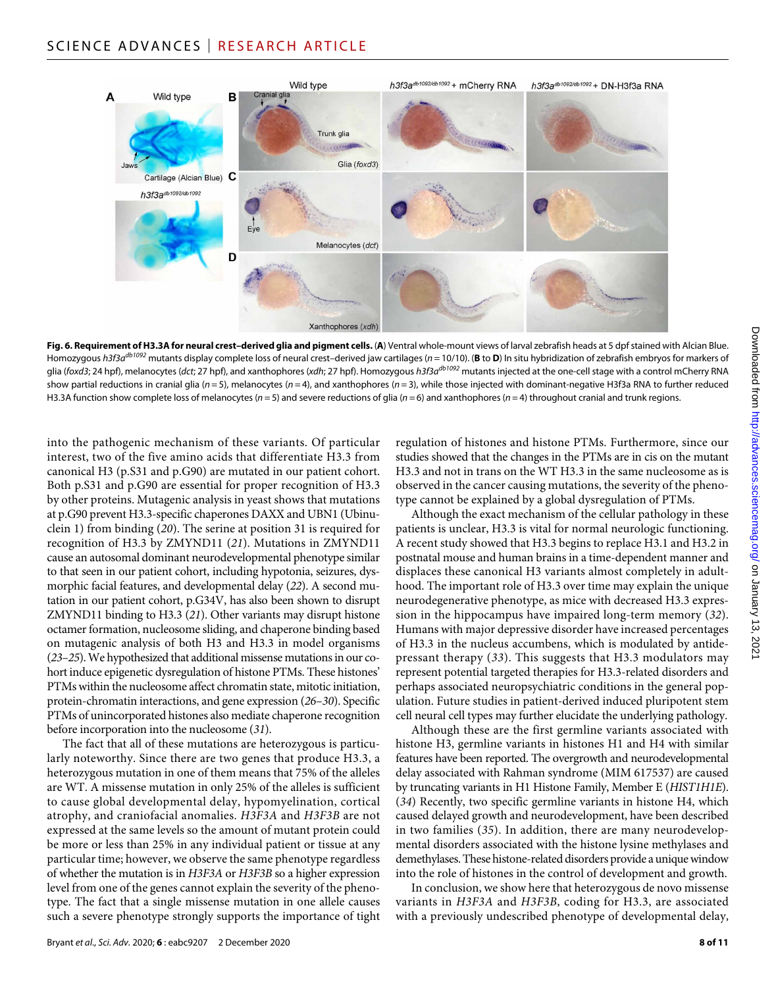

**Fig. 6. Requirement of H3.3A for neural crest–derived glia and pigment cells.** (**A**) Ventral whole-mount views of larval zebrafish heads at 5 dpf stained with Alcian Blue. Homozygous h3f3a<sup>db1092</sup> mutants display complete loss of neural crest-derived jaw cartilages (n = 10/10). (**B** to **D**) In situ hybridization of zebrafish embryos for markers of glia (*foxd3*; 24 hpf), melanocytes (*dct*; 27 hpf), and xanthophores (*xdh*; 27 hpf). Homozygous *h3f3adb1092* mutants injected at the one-cell stage with a control mCherry RNA show partial reductions in cranial glia (*n* = 5), melanocytes (*n* = 4), and xanthophores (*n* = 3), while those injected with dominant-negative H3f3a RNA to further reduced H3.3A function show complete loss of melanocytes (*n* = 5) and severe reductions of glia (*n* = 6) and xanthophores (*n* = 4) throughout cranial and trunk regions.

into the pathogenic mechanism of these variants. Of particular interest, two of the five amino acids that differentiate H3.3 from canonical H3 (p.S31 and p.G90) are mutated in our patient cohort. Both p.S31 and p.G90 are essential for proper recognition of H3.3 by other proteins. Mutagenic analysis in yeast shows that mutations at p.G90 prevent H3.3-specific chaperones DAXX and UBN1 (Ubinuclein 1) from binding (*20*). The serine at position 31 is required for recognition of H3.3 by ZMYND11 (*21*). Mutations in ZMYND11 cause an autosomal dominant neurodevelopmental phenotype similar to that seen in our patient cohort, including hypotonia, seizures, dysmorphic facial features, and developmental delay (*22*). A second mutation in our patient cohort, p.G34V, has also been shown to disrupt ZMYND11 binding to H3.3 (*21*). Other variants may disrupt histone octamer formation, nucleosome sliding, and chaperone binding based on mutagenic analysis of both H3 and H3.3 in model organisms (*23*–*25*). We hypothesized that additional missense mutations in our cohort induce epigenetic dysregulation of histone PTMs. These histones' PTMs within the nucleosome affect chromatin state, mitotic initiation, protein-chromatin interactions, and gene expression (*26*–*30*). Specific PTMs of unincorporated histones also mediate chaperone recognition before incorporation into the nucleosome (*31*).

The fact that all of these mutations are heterozygous is particularly noteworthy. Since there are two genes that produce H3.3, a heterozygous mutation in one of them means that 75% of the alleles are WT. A missense mutation in only 25% of the alleles is sufficient to cause global developmental delay, hypomyelination, cortical atrophy, and craniofacial anomalies. *H3F3A* and *H3F3B* are not expressed at the same levels so the amount of mutant protein could be more or less than 25% in any individual patient or tissue at any particular time; however, we observe the same phenotype regardless of whether the mutation is in *H3F3A* or *H3F3B* so a higher expression level from one of the genes cannot explain the severity of the phenotype. The fact that a single missense mutation in one allele causes such a severe phenotype strongly supports the importance of tight

regulation of histones and histone PTMs. Furthermore, since our studies showed that the changes in the PTMs are in cis on the mutant H3.3 and not in trans on the WT H3.3 in the same nucleosome as is observed in the cancer causing mutations, the severity of the phenotype cannot be explained by a global dysregulation of PTMs.

Although the exact mechanism of the cellular pathology in these patients is unclear, H3.3 is vital for normal neurologic functioning. A recent study showed that H3.3 begins to replace H3.1 and H3.2 in postnatal mouse and human brains in a time-dependent manner and displaces these canonical H3 variants almost completely in adulthood. The important role of H3.3 over time may explain the unique neurodegenerative phenotype, as mice with decreased H3.3 expression in the hippocampus have impaired long-term memory (*32*). Humans with major depressive disorder have increased percentages of H3.3 in the nucleus accumbens, which is modulated by antidepressant therapy (*33*). This suggests that H3.3 modulators may represent potential targeted therapies for H3.3-related disorders and perhaps associated neuropsychiatric conditions in the general population. Future studies in patient-derived induced pluripotent stem cell neural cell types may further elucidate the underlying pathology.

Although these are the first germline variants associated with histone H3, germline variants in histones H1 and H4 with similar features have been reported. The overgrowth and neurodevelopmental delay associated with Rahman syndrome (MIM 617537) are caused by truncating variants in H1 Histone Family, Member E (*HIST1H1E*). (*34*) Recently, two specific germline variants in histone H4, which caused delayed growth and neurodevelopment, have been described in two families (*35*). In addition, there are many neurodevelopmental disorders associated with the histone lysine methylases and demethylases. These histone-related disorders provide a unique window into the role of histones in the control of development and growth.

In conclusion, we show here that heterozygous de novo missense variants in *H3F3A* and *H3F3B*, coding for H3.3, are associated with a previously undescribed phenotype of developmental delay,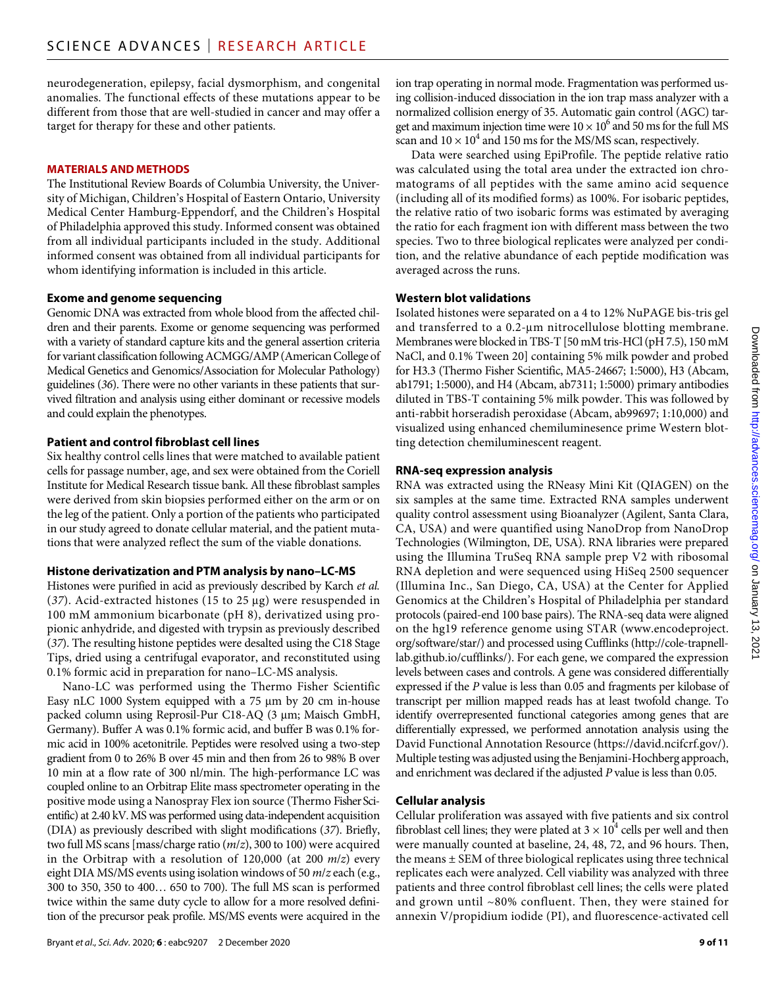neurodegeneration, epilepsy, facial dysmorphism, and congenital anomalies. The functional effects of these mutations appear to be different from those that are well-studied in cancer and may offer a target for therapy for these and other patients.

#### **MATERIALS AND METHODS**

The Institutional Review Boards of Columbia University, the University of Michigan, Children's Hospital of Eastern Ontario, University Medical Center Hamburg-Eppendorf, and the Children's Hospital of Philadelphia approved this study. Informed consent was obtained from all individual participants included in the study. Additional informed consent was obtained from all individual participants for whom identifying information is included in this article.

### **Exome and genome sequencing**

Genomic DNA was extracted from whole blood from the affected children and their parents. Exome or genome sequencing was performed with a variety of standard capture kits and the general assertion criteria for variant classification following ACMGG/AMP (American College of Medical Genetics and Genomics/Association for Molecular Pathology) guidelines (*36*). There were no other variants in these patients that survived filtration and analysis using either dominant or recessive models and could explain the phenotypes.

### **Patient and control fibroblast cell lines**

Six healthy control cells lines that were matched to available patient cells for passage number, age, and sex were obtained from the Coriell Institute for Medical Research tissue bank. All these fibroblast samples were derived from skin biopsies performed either on the arm or on the leg of the patient. Only a portion of the patients who participated in our study agreed to donate cellular material, and the patient mutations that were analyzed reflect the sum of the viable donations.

#### **Histone derivatization and PTM analysis by nano–LC-MS**

Histones were purified in acid as previously described by Karch *et al.* (37). Acid-extracted histones (15 to 25 µg) were resuspended in 100 mM ammonium bicarbonate (pH 8), derivatized using propionic anhydride, and digested with trypsin as previously described (*37*). The resulting histone peptides were desalted using the C18 Stage Tips, dried using a centrifugal evaporator, and reconstituted using 0.1% formic acid in preparation for nano–LC-MS analysis.

Nano-LC was performed using the Thermo Fisher Scientific Easy nLC 1000 System equipped with a 75 µm by 20 cm in-house packed column using Reprosil-Pur C18-AQ (3 µm; Maisch GmbH, Germany). Buffer A was 0.1% formic acid, and buffer B was 0.1% formic acid in 100% acetonitrile. Peptides were resolved using a two-step gradient from 0 to 26% B over 45 min and then from 26 to 98% B over 10 min at a flow rate of 300 nl/min. The high-performance LC was coupled online to an Orbitrap Elite mass spectrometer operating in the positive mode using a Nanospray Flex ion source (Thermo Fisher Scientific) at 2.40 kV.MS was performed using data-independent acquisition (DIA) as previously described with slight modifications (*37*). Briefly, two full MS scans [mass/charge ratio (*m*/*z*), 300 to 100) were acquired in the Orbitrap with a resolution of 120,000 (at 200 *m*/*z*) every eight DIA MS/MS events using isolation windows of 50 *m*/*z* each (e.g., 300 to 350, 350 to 400… 650 to 700). The full MS scan is performed twice within the same duty cycle to allow for a more resolved definition of the precursor peak profile. MS/MS events were acquired in the

ion trap operating in normal mode. Fragmentation was performed using collision-induced dissociation in the ion trap mass analyzer with a normalized collision energy of 35. Automatic gain control (AGC) target and maximum injection time were  $10 \times 10^6$  and 50 ms for the full MS scan and  $10 \times 10^4$  and 150 ms for the MS/MS scan, respectively.

Data were searched using EpiProfile. The peptide relative ratio was calculated using the total area under the extracted ion chromatograms of all peptides with the same amino acid sequence (including all of its modified forms) as 100%. For isobaric peptides, the relative ratio of two isobaric forms was estimated by averaging the ratio for each fragment ion with different mass between the two species. Two to three biological replicates were analyzed per condition, and the relative abundance of each peptide modification was averaged across the runs.

### **Western blot validations**

Isolated histones were separated on a 4 to 12% NuPAGE bis-tris gel and transferred to a 0.2-µm nitrocellulose blotting membrane. Membranes were blocked in TBS-T [50 mM tris-HCl (pH 7.5), 150 mM NaCl, and 0.1% Tween 20] containing 5% milk powder and probed for H3.3 (Thermo Fisher Scientific, MA5-24667; 1:5000), H3 (Abcam, ab1791; 1:5000), and H4 (Abcam, ab7311; 1:5000) primary antibodies diluted in TBS-T containing 5% milk powder. This was followed by anti-rabbit horseradish peroxidase (Abcam, ab99697; 1:10,000) and visualized using enhanced chemiluminesence prime Western blotting detection chemiluminescent reagent.

### **RNA-seq expression analysis**

RNA was extracted using the RNeasy Mini Kit (QIAGEN) on the six samples at the same time. Extracted RNA samples underwent quality control assessment using Bioanalyzer (Agilent, Santa Clara, CA, USA) and were quantified using NanoDrop from NanoDrop Technologies (Wilmington, DE, USA). RNA libraries were prepared using the Illumina TruSeq RNA sample prep V2 with ribosomal RNA depletion and were sequenced using HiSeq 2500 sequencer (Illumina Inc., San Diego, CA, USA) at the Center for Applied Genomics at the Children's Hospital of Philadelphia per standard protocols (paired-end 100 base pairs). The RNA-seq data were aligned on the hg19 reference genome using STAR ([www.encodeproject.](http://www.encodeproject.org/software/star/) [org/software/star/\)](http://www.encodeproject.org/software/star/) and processed using Cufflinks [\(http://cole-trapnell](http://cole-trapnell-lab.github.io/cufflinks/)[lab.github.io/cufflinks/](http://cole-trapnell-lab.github.io/cufflinks/)). For each gene, we compared the expression levels between cases and controls. A gene was considered differentially expressed if the *P* value is less than 0.05 and fragments per kilobase of transcript per million mapped reads has at least twofold change. To identify overrepresented functional categories among genes that are differentially expressed, we performed annotation analysis using the David Functional Annotation Resource ([https://david.ncifcrf.gov/\)](https://david.ncifcrf.gov/). Multiple testing was adjusted using the Benjamini-Hochberg approach, and enrichment was declared if the adjusted *P* value is less than 0.05.

# **Cellular analysis**

Cellular proliferation was assayed with five patients and six control fibroblast cell lines; they were plated at 3  $\times$  10<sup>4</sup> cells per well and then were manually counted at baseline, 24, 48, 72, and 96 hours. Then, the means ± SEM of three biological replicates using three technical replicates each were analyzed. Cell viability was analyzed with three patients and three control fibroblast cell lines; the cells were plated and grown until ~80% confluent. Then, they were stained for annexin V/propidium iodide (PI), and fluorescence-activated cell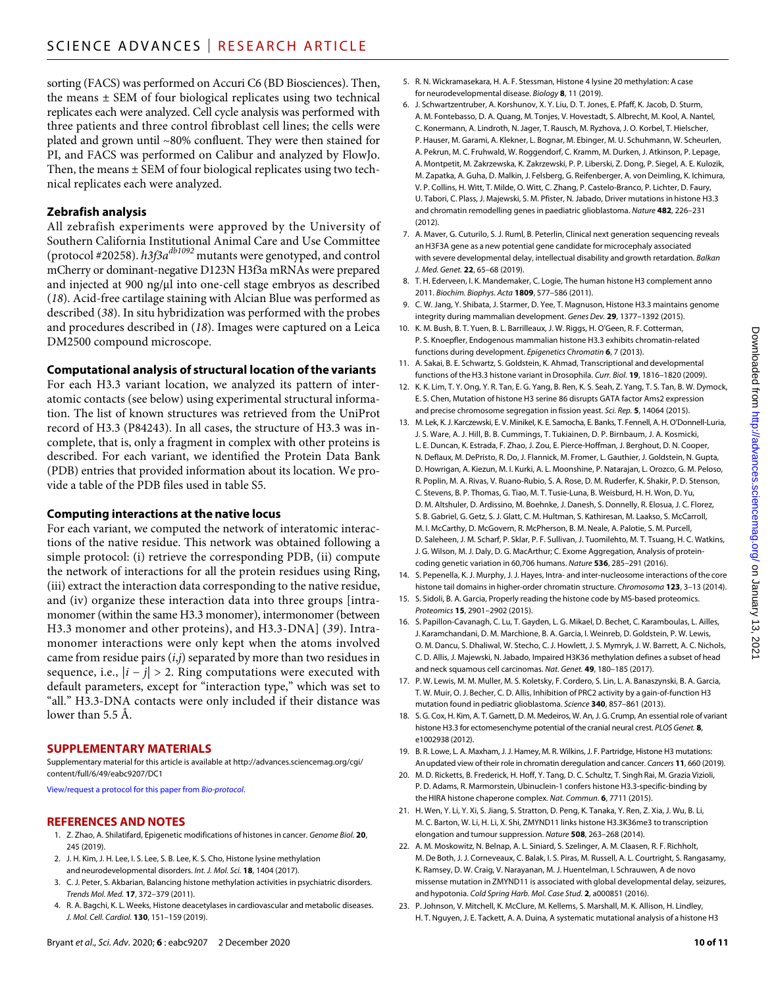sorting (FACS) was performed on Accuri C6 (BD Biosciences). Then, the means  $\pm$  SEM of four biological replicates using two technical replicates each were analyzed. Cell cycle analysis was performed with three patients and three control fibroblast cell lines; the cells were plated and grown until ~80% confluent. They were then stained for PI, and FACS was performed on Calibur and analyzed by FlowJo. Then, the means  $\pm$  SEM of four biological replicates using two technical replicates each were analyzed.

# **Zebrafish analysis**

All zebrafish experiments were approved by the University of Southern California Institutional Animal Care and Use Committee (protocol #20258). *h3f3adb1092* mutants were genotyped, and control mCherry or dominant-negative D123N H3f3a mRNAs were prepared and injected at 900 ng/µl into one-cell stage embryos as described (*18*). Acid-free cartilage staining with Alcian Blue was performed as described (*38*). In situ hybridization was performed with the probes and procedures described in (*18*). Images were captured on a Leica DM2500 compound microscope.

# **Computational analysis of structural location ofthe variants**

For each H3.3 variant location, we analyzed its pattern of interatomic contacts (see below) using experimental structural information. The list of known structures was retrieved from the UniProt record of H3.3 (P84243). In all cases, the structure of H3.3 was incomplete, that is, only a fragment in complex with other proteins is described. For each variant, we identified the Protein Data Bank (PDB) entries that provided information about its location. We provide a table of the PDB files used in table S5.

# **Computing interactions at the native locus**

For each variant, we computed the network of interatomic interactions of the native residue. This network was obtained following a simple protocol: (i) retrieve the corresponding PDB, (ii) compute the network of interactions for all the protein residues using Ring, (iii) extract the interaction data corresponding to the native residue, and (iv) organize these interaction data into three groups [intramonomer (within the same H3.3 monomer), intermonomer (between H3.3 monomer and other proteins), and H3.3-DNA] (*39*). Intramonomer interactions were only kept when the atoms involved came from residue pairs (*i*,*j*) separated by more than two residues in sequence, i.e.,  $|i - j| > 2$ . Ring computations were executed with default parameters, except for "interaction type," which was set to "all." H3.3-DNA contacts were only included if their distance was lower than 5.5 Å.

# **SUPPLEMENTARY MATERIALS**

Supplementary material for this article is available at [http://advances.sciencemag.org/cgi/](http://advances.sciencemag.org/cgi/content/full/6/49/eabc9207/DC1) [content/full/6/49/eabc9207/DC1](http://advances.sciencemag.org/cgi/content/full/6/49/eabc9207/DC1)

[View/request a protocol for this paper from](https://en.bio-protocol.org/cjrap.aspx?eid=10.1126/sciadv.abc9207) *Bio-protocol*.

#### **REFERENCES AND NOTES**

- 1. Z. Zhao, A. Shilatifard, Epigenetic modifications of histones in cancer. *Genome Biol.* **20**, 245 (2019).
- 2. J. H. Kim, J. H. Lee, I. S. Lee, S. B. Lee, K. S. Cho, Histone lysine methylation
- and neurodevelopmental disorders. *Int. J. Mol. Sci.* **18**, 1404 (2017). 3. C. J. Peter, S. Akbarian, Balancing histone methylation activities in psychiatric disorders. *Trends Mol. Med.* **17**, 372–379 (2011).
- 4. R. A. Bagchi, K. L. Weeks, Histone deacetylases in cardiovascular and metabolic diseases. *J. Mol. Cell. Cardiol.* **130**, 151–159 (2019).
- 5. R. N. Wickramasekara, H. A. F. Stessman, Histone 4 lysine 20 methylation: A case for neurodevelopmental disease. *Biology* **8**, 11 (2019).
- 6. J. Schwartzentruber, A. Korshunov, X. Y. Liu, D. T. Jones, E. Pfaff, K. Jacob, D. Sturm, A. M. Fontebasso, D. A. Quang, M. Tonjes, V. Hovestadt, S. Albrecht, M. Kool, A. Nantel, C. Konermann, A. Lindroth, N. Jager, T. Rausch, M. Ryzhova, J. O. Korbel, T. Hielscher, P. Hauser, M. Garami, A. Klekner, L. Bognar, M. Ebinger, M. U. Schuhmann, W. Scheurlen, A. Pekrun, M. C. Fruhwald, W. Roggendorf, C. Kramm, M. Durken, J. Atkinson, P. Lepage, A. Montpetit, M. Zakrzewska, K. Zakrzewski, P. P. Liberski, Z. Dong, P. Siegel, A. E. Kulozik, M. Zapatka, A. Guha, D. Malkin, J. Felsberg, G. Reifenberger, A. vonDeimling, K. Ichimura, V. P. Collins, H. Witt, T. Milde, O. Witt, C. Zhang, P. Castelo-Branco, P. Lichter, D. Faury, U. Tabori, C. Plass, J. Majewski, S. M. Pfister, N. Jabado, Driver mutations in histone H3.3 and chromatin remodelling genes in paediatric glioblastoma. *Nature* **482**, 226–231 (2012).
- 7. A. Maver, G. Cuturilo, S. J. Ruml, B. Peterlin, Clinical next generation sequencing reveals an H3F3A gene as a new potential gene candidate for microcephaly associated with severe developmental delay, intellectual disability and growth retardation. *Balkan J. Med. Genet.* **22**, 65–68 (2019).
- 8. T. H. Ederveen, I. K. Mandemaker, C. Logie, The human histone H3 complement anno 2011. *Biochim. Biophys. Acta* **1809**, 577–586 (2011).
- 9. C. W. Jang, Y. Shibata, J. Starmer, D. Yee, T. Magnuson, Histone H3.3 maintains genome integrity during mammalian development. *Genes Dev.* **29**, 1377–1392 (2015).
- 10. K. M. Bush, B. T. Yuen, B. L. Barrilleaux, J. W. Riggs, H. O'Geen, R. F. Cotterman, P. S. Knoepfler, Endogenous mammalian histone H3.3 exhibits chromatin-related functions during development. *Epigenetics Chromatin* **6**, 7 (2013).
- 11. A. Sakai, B. E. Schwartz, S. Goldstein, K. Ahmad, Transcriptional and developmental functions of the H3.3 histone variant inDrosophila. *Curr. Biol.* **19**, 1816–1820 (2009).
- 12. K. K. Lim, T. Y. Ong, Y. R. Tan, E. G. Yang, B. Ren, K. S. Seah, Z. Yang, T. S. Tan, B. W. Dymock, E. S. Chen, Mutation of histone H3 serine 86 disrupts GATA factor Ams2 expression and precise chromosome segregation in fission yeast. *Sci. Rep.* **5**, 14064 (2015).
- 13. M. Lek, K.J. Karczewski, E. V. Minikel, K. E. Samocha, E. Banks, T. Fennell, A. H.O'Donnell-Luria, J. S. Ware, A. J. Hill, B. B. Cummings, T. Tukiainen, D. P. Birnbaum, J. A. Kosmicki, L. E. Duncan, K. Estrada, F. Zhao, J. Zou, E. Pierce-Hoffman, J. Berghout, D. N. Cooper, N. Deflaux, M. DePristo, R. Do, J. Flannick, M. Fromer, L. Gauthier, J. Goldstein, N. Gupta, D. Howrigan, A. Kiezun, M. I. Kurki, A. L. Moonshine, P. Natarajan, L. Orozco, G. M. Peloso, R. Poplin, M. A. Rivas, V. Ruano-Rubio, S. A. Rose, D. M. Ruderfer, K. Shakir, P. D. Stenson, C. Stevens, B. P. Thomas, G. Tiao, M. T. Tusie-Luna, B. Weisburd, H. H. Won, D. Yu, D. M. Altshuler, D. Ardissino, M. Boehnke, J. Danesh, S. Donnelly, R. Elosua, J. C. Florez, S. B. Gabriel, G. Getz, S. J. Glatt, C. M. Hultman, S. Kathiresan, M. Laakso, S. McCarroll, M. I. McCarthy, D. McGovern, R. McPherson, B. M. Neale, A. Palotie, S. M. Purcell, D. Saleheen, J. M. Scharf, P. Sklar, P. F. Sullivan, J. Tuomilehto, M. T. Tsuang, H. C. Watkins, J. G. Wilson, M. J. Daly, D. G. MacArthur; C. Exome Aggregation, Analysis of proteincoding genetic variation in 60,706 humans. *Nature* **536**, 285–291 (2016).
- 14. S. Pepenella, K. J. Murphy, J. J. Hayes, Intra- and inter-nucleosome interactions of the core histone tail domains in higher-order chromatin structure. *Chromosoma* **123**, 3–13 (2014).
- 15. S. Sidoli, B. A. Garcia, Properly reading the histone code by MS-based proteomics. *Proteomics* **15**, 2901–2902 (2015).
- 16. S. Papillon-Cavanagh, C. Lu, T. Gayden, L. G. Mikael, D. Bechet, C. Karamboulas, L. Ailles, J. Karamchandani, D. M. Marchione, B. A. Garcia, I. Weinreb, D. Goldstein, P. W. Lewis, O. M. Dancu, S. Dhaliwal, W. Stecho, C. J. Howlett, J. S. Mymryk, J. W. Barrett, A. C. Nichols, C. D. Allis, J. Majewski, N. Jabado, Impaired H3K36 methylation defines a subset of head and neck squamous cell carcinomas. *Nat. Genet.* **49**, 180–185 (2017).
- 17. P. W. Lewis, M. M. Muller, M. S. Koletsky, F. Cordero, S. Lin, L. A. Banaszynski, B. A. Garcia, T. W. Muir, O. J. Becher, C. D. Allis, Inhibition of PRC2 activity by a gain-of-function H3 mutation found in pediatric glioblastoma. *Science* **340**, 857–861 (2013).
- 18. S. G. Cox, H. Kim, A. T. Garnett, D. M. Medeiros, W. An, J. G. Crump, An essential role of variant histone H3.3 for ectomesenchyme potential ofthe cranial neural crest. *PLOS Genet.* **8**, e1002938 (2012).
- 19. B. R. Lowe, L. A. Maxham, J.J. Hamey, M. R. Wilkins, J. F. Partridge, Histone H3 mutations: An updated view oftheir role in chromatin deregulation andcancer. *Cancers* **11**, 660 (2019).
- 20. M. D. Ricketts, B. Frederick, H. Hoff, Y. Tang, D. C. Schultz, T. Singh Rai, M. Grazia Vizioli, P. D. Adams, R. Marmorstein, Ubinuclein-1 confers histone H3.3-specific-binding by the HIRA histone chaperone complex. *Nat. Commun.* **6**, 7711 (2015).
- 21. H. Wen, Y. Li, Y. Xi, S. Jiang, S. Stratton, D. Peng, K. Tanaka, Y. Ren, Z. Xia, J. Wu, B. Li, M. C. Barton, W. Li, H. Li, X. Shi, ZMYND11 links histone H3.3K36me3 to transcription elongation and tumour suppression. *Nature* **508**, 263–268 (2014).
- 22. A. M. Moskowitz, N. Belnap, A. L. Siniard, S. Szelinger, A. M. Claasen, R. F. Richholt, M. De Both, J. J. Corneveaux, C. Balak, I. S. Piras, M. Russell, A. L. Courtright, S. Rangasamy, K. Ramsey, D. W. Craig, V. Narayanan, M. J. Huentelman, I. Schrauwen, A de novo missense mutation in ZMYND11 is associated with global developmental delay, seizures, and hypotonia. *Cold Spring Harb. Mol. Case Stud.* **2**, a000851 (2016).
- 23. P. Johnson, V. Mitchell, K. McClure, M. Kellems, S. Marshall, M. K. Allison, H. Lindley, H. T. Nguyen, J. E. Tackett, A. A. Duina, A systematic mutational analysis of a histone H3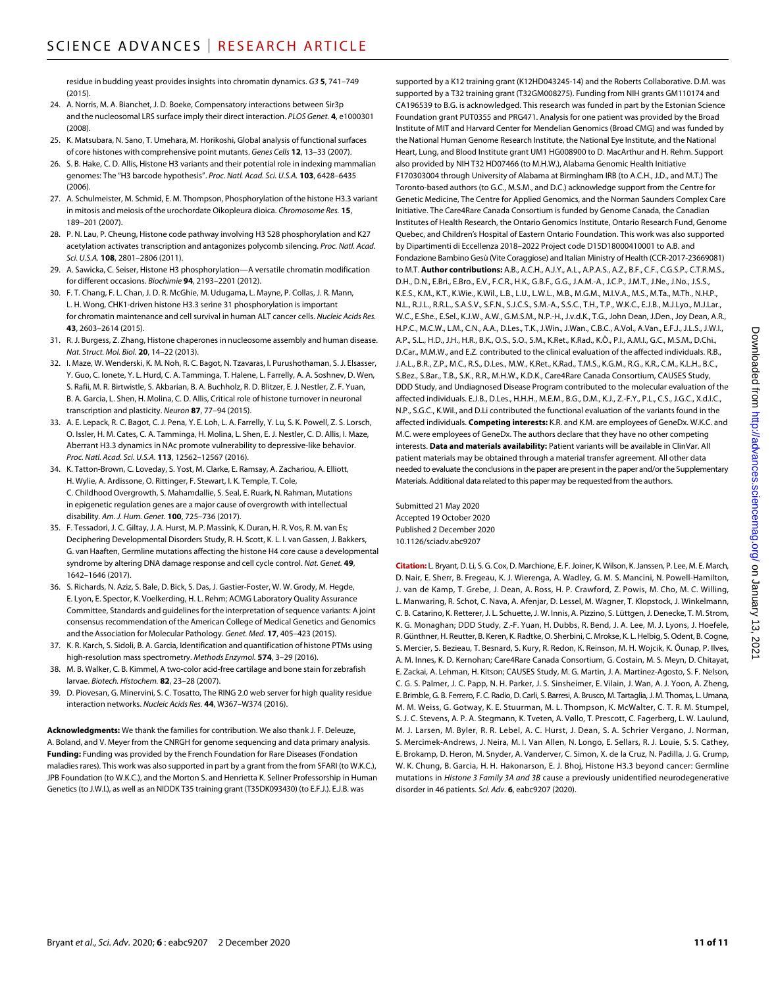residue in budding yeast provides insights into chromatin dynamics. *G3* **5**, 741–749 (2015).

- 24. A. Norris, M. A. Bianchet, J. D. Boeke, Compensatory interactions between Sir3p and the nucleosomal LRS surface imply their direct interaction. *PLOS Genet.* **4**, e1000301 (2008).
- 25. K. Matsubara, N. Sano, T. Umehara, M. Horikoshi, Global analysis of functional surfaces of core histones with comprehensive point mutants. *Genes Cells* **12**, 13–33 (2007).
- 26. S. B. Hake, C. D. Allis, Histone H3 variants and their potential role in indexing mammalian genomes: The "H3 barcode hypothesis". *Proc. Natl. Acad. Sci. U.S.A.* **103**, 6428–6435  $(2006)$
- 27. A. Schulmeister, M. Schmid, E. M. Thompson, Phosphorylation of the histone H3.3 variant in mitosis and meiosis of the urochordate Oikopleura dioica. *Chromosome Res.* **15**, 189–201 (2007).
- 28. P. N. Lau, P. Cheung, Histone code pathway involving H3 S28 phosphorylation and K27 acetylation activates transcription and antagonizes polycomb silencing. *Proc. Natl. Acad. Sci. U.S.A.* **108**, 2801–2806 (2011).
- 29. A. Sawicka, C. Seiser, Histone H3 phosphorylation—A versatile chromatin modification for different occasions. *Biochimie* **94**, 2193–2201 (2012).
- 30. F. T. Chang, F. L. Chan, J. D. R. McGhie, M. Udugama, L. Mayne, P. Collas, J. R. Mann, L. H. Wong, CHK1-driven histone H3.3 serine 31 phosphorylation is important for chromatin maintenance and cell survival in human ALT cancer cells. *Nucleic Acids Res.* **43**, 2603–2614 (2015).
- 31. R. J. Burgess, Z. Zhang, Histone chaperones in nucleosome assembly and human disease. *Nat. Struct. Mol. Biol.* **20**, 14–22 (2013).
- 32. I. Maze, W. Wenderski, K. M. Noh, R. C. Bagot, N. Tzavaras, I. Purushothaman, S. J. Elsasser, Y. Guo, C. Ionete, Y. L. Hurd, C. A. Tamminga, T. Halene, L. Farrelly, A. A. Soshnev, D. Wen, S. Rafii, M. R. Birtwistle, S. Akbarian, B. A. Buchholz, R. D. Blitzer, E. J. Nestler, Z. F. Yuan, B. A. Garcia, L. Shen, H. Molina, C. D. Allis, Critical role of histone turnover in neuronal transcription and plasticity. *Neuron* **87**, 77–94 (2015).
- 33. A. E. Lepack, R. C. Bagot, C. J. Pena, Y. E. Loh, L. A. Farrelly, Y. Lu, S. K. Powell, Z. S. Lorsch, O. Issler, H. M. Cates, C. A. Tamminga, H. Molina, L. Shen, E. J. Nestler, C. D. Allis, I. Maze, Aberrant H3.3 dynamics in NAc promote vulnerability to depressive-like behavior. *Proc. Natl. Acad. Sci. U.S.A.* **113**, 12562–12567 (2016).
- 34. K. Tatton-Brown, C. Loveday, S. Yost, M. Clarke, E. Ramsay, A. Zachariou, A. Elliott, H. Wylie, A. Ardissone, O. Rittinger, F. Stewart, I. K. Temple, T. Cole, C. Childhood Overgrowth, S. Mahamdallie, S. Seal, E. Ruark, N. Rahman, Mutations in epigenetic regulation genes are a major cause of overgrowth with intellectual disability. *Am. J. Hum. Genet.* **100**, 725–736 (2017).
- 35. F. Tessadori, J. C. Giltay, J. A. Hurst, M. P. Massink, K. Duran, H. R. Vos, R. M. van Es; Deciphering Developmental Disorders Study, R. H. Scott, K. L. I. van Gassen, J. Bakkers, G. van Haaften, Germline mutations affecting the histone H4 core cause a developmental syndrome by altering DNA damage response and cell cycle control. *Nat. Genet.* **49**, 1642–1646 (2017).
- 36. S. Richards, N. Aziz, S. Bale, D. Bick, S. Das, J. Gastier-Foster, W. W. Grody, M. Hegde, E. Lyon, E. Spector, K. Voelkerding, H. L. Rehm; ACMG Laboratory Quality Assurance Committee, Standards and quidelines for the interpretation of sequence variants: A joint consensus recommendation of the American College of Medical Genetics and Genomics and the Association for Molecular Pathology. *Genet. Med.* **17**, 405–423 (2015).
- 37. K. R. Karch, S. Sidoli, B. A. Garcia, Identification and quantification of histone PTMs using high-resolution mass spectrometry. *Methods Enzymol.* **574**, 3–29 (2016).
- 38. M. B. Walker, C. B. Kimmel, A two-color acid-free cartilage and bone stain for zebrafish larvae. *Biotech. Histochem.* **82**, 23–28 (2007).
- 39. D. Piovesan, G. Minervini, S. C. Tosatto, The RING 2.0 web server for high quality residue interaction networks. *Nucleic Acids Res.* **44**, W367–W374 (2016).

**Acknowledgments:** We thank the families for contribution. We also thank J. F. Deleuze, A. Boland, and V. Meyer from the CNRGH for genome sequencing and data primary analysis. **Funding:** Funding was provided by the French Foundation for Rare Diseases (Fondation maladies rares). This work was also supported in part by a grant from the from SFARI (to W.K.C.), JPB Foundation (to W.K.C.), and the Morton S. and Henrietta K. Sellner Professorship in Human Genetics (to J.W.I.), as well as an NIDDK T35 training grant (T35DK093430) (to E.F.J.). E.J.B. was

supported by a K12 training grant (K12HD043245-14) and the Roberts Collaborative. D.M. was supported by a T32 training grant (T32GM008275). Funding from NIH grants GM110174 and CA196539 to B.G. is acknowledged. This research was funded in part by the Estonian Science Foundation grant PUT0355 and PRG471. Analysis for one patient was provided by the Broad Institute of MIT and Harvard Center for Mendelian Genomics (Broad CMG) and was funded by the National Human Genome Research Institute, the National Eye Institute, and the National Heart, Lung, and Blood Institute grant UM1 HG008900 to D. MacArthur and H. Rehm. Support also provided by NIH T32 HD07466 (to M.H.W.), Alabama Genomic Health Initiative F170303004 through University of Alabama at Birmingham IRB (to A.C.H., J.D., and M.T.) The Toronto-based authors (to G.C., M.S.M., and D.C.) acknowledge support from the Centre for Genetic Medicine, The Centre for Applied Genomics, and the Norman Saunders Complex Care Initiative. The Care4Rare Canada Consortium is funded by Genome Canada, the Canadian Institutes of Health Research, the Ontario Genomics Institute, Ontario Research Fund, Genome Quebec, and Children's Hospital of Eastern Ontario Foundation. This work was also supported by Dipartimenti di Eccellenza 2018–2022 Project code D15D18000410001 to A.B. and Fondazione Bambino Gesù (Vite Coraggiose) and Italian Ministry of Health (CCR-2017-23669081) to M.T. **Author contributions:** A.B., A.C.H., A.J.Y., A.L., A.P.A.S., A.Z., B.F., C.F., C.G.S.P., C.T.R.M.S., D.H., D.N., E.Bri., E.Bro., E.V., F.C.R., H.K., G.B.F., G.G., J.A.M.-A., J.C.P., J.M.T., J.Ne., J.No., J.S.S., K.E.S., K.M., K.T., K.Wie., K.Wil., L.B., L.U., L.W.L., M.B., M.G.M., M.I.V.A., M.S., M.Ta., M.Th., N.H.P., N.L., R.J.L., R.R.L., S.A.S.V., S.F.N., S.J.C.S., S.M.-A., S.S.C., T.H., T.P., W.K.C., E.J.B., M.J.Lyo., M.J.Lar., W.C., E.She., E.Sel., K.J.W., A.W., G.M.S.M., N.P.-H., J.v.d.K., T.G., John Dean, J.Den., Joy Dean, A.R., H.P.C., M.C.W., L.M., C.N., A.A., D.Les., T.K., J.Win., J.Wan., C.B.C., A.Vol., A.Van., E.F.J., J.L.S., J.W.I., A.P., S.L., H.D., J.H., H.R., B.K., O.S., S.O., S.M., K.Ret., K.Rad., K.Õ., P.I., A.M.I., G.C., M.S.M., D.Chi., D.Car., M.M.W., and E.Z. contributed to the clinical evaluation of the affected individuals. R.B., J.A.L., B.R., Z.P., M.C., R.S., D.Les., M.W., K.Ret., K.Rad., T.M.S., K.G.M., R.G., K.R., C.M., K.L.H., B.C., S.Bez., S.Bar., T.B., S.K., R.R., M.H.W., K.D.K., Care4Rare Canada Consortium, CAUSES Study, DDD Study, and Undiagnosed Disease Program contributed to the molecular evaluation of the affected individuals. E.J.B., D.Les., H.H.H., M.E.M., B.G., D.M., K.J., Z.-F.Y., P.L., C.S., J.G.C., X.d.l.C., N.P., S.G.C., K.Wil., and D.Li contributed the functional evaluation of the variants found in the affected individuals. **Competing interests:** K.R. and K.M. are employees of GeneDx. W.K.C. and M.C. were employees of GeneDx. The authors declare that they have no other competing interests. **Data and materials availability:** Patient variants will be available in ClinVar. All patient materials may be obtained through a material transfer agreement. All other data needed to evaluate the conclusions in the paper are present in the paper and/or the Supplementary Materials. Additional data related to this paper may be requested from the authors.

Submitted 21 May 2020 Accepted 19 October 2020 Published 2 December 2020 10.1126/sciadv.abc9207

**Citation:** L. Bryant, D. Li, S. G. Cox, D. Marchione, E. F. Joiner, K. Wilson, K.Janssen, P. Lee, M. E. March, D. Nair, E. Sherr, B. Fregeau, K. J. Wierenga, A. Wadley, G. M. S. Mancini, N. Powell-Hamilton, J. van de Kamp, T. Grebe, J. Dean, A. Ross, H. P. Crawford, Z. Powis, M. Cho, M. C. Willing, L. Manwaring, R. Schot, C. Nava, A. Afenjar, D. Lessel, M. Wagner, T. Klopstock, J. Winkelmann, C. B. Catarino, K. Retterer, J. L. Schuette, J. W. Innis, A. Pizzino, S. Lüttgen, J. Denecke, T. M. Strom, K. G. Monaghan; DDD Study, Z.-F. Yuan, H. Dubbs, R. Bend, J. A. Lee, M. J. Lyons, J. Hoefele, R. Günthner, H. Reutter, B. Keren, K. Radtke, O. Sherbini, C. Mrokse, K. L. Helbig, S. Odent, B. Cogne, S. Mercier, S. Bezieau, T. Besnard, S. Kury, R. Redon, K. Reinson, M. H. Wojcik, K. Õunap, P. Ilves, A. M. Innes, K. D. Kernohan; Care4Rare Canada Consortium, G. Costain, M. S. Meyn, D. Chitayat, E. Zackai, A. Lehman, H. Kitson; CAUSES Study, M. G. Martin, J. A. Martinez-Agosto, S. F. Nelson, C. G. S. Palmer, J. C. Papp, N. H. Parker, J. S. Sinsheimer, E. Vilain, J. Wan, A. J. Yoon, A. Zheng, E. Brimble, G. B. Ferrero, F. C. Radio, D. Carli, S. Barresi, A. Brusco, M. Tartaglia, J. M. Thomas, L.Umana, M. M. Weiss, G. Gotway, K. E. Stuurman, M. L. Thompson, K. McWalter, C. T. R. M. Stumpel, S. J. C. Stevens, A. P. A. Stegmann, K. Tveten, A. Vøllo, T. Prescott, C. Fagerberg, L. W. Laulund, M. J. Larsen, M. Byler, R. R. Lebel, A. C. Hurst, J. Dean, S. A. Schrier Vergano, J. Norman, S. Mercimek-Andrews, J. Neira, M. I. Van Allen, N. Longo, E. Sellars, R. J. Louie, S. S. Cathey, E. Brokamp, D. Heron, M. Snyder, A. Vanderver, C. Simon, X. de la Cruz, N. Padilla, J. G. Crump, W. K. Chung, B. Garcia, H. H. Hakonarson, E. J. Bhoj, Histone H3.3 beyond cancer: Germline mutations in *Histone 3 Family 3A and 3B* cause a previously unidentified neurodegenerative disorder in 46 patients. *Sci. Adv.* **6**, eabc9207 (2020).